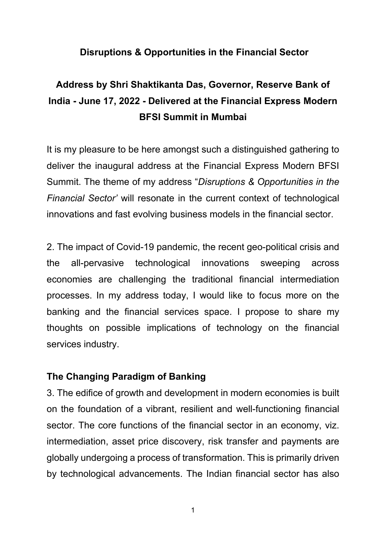# **Disruptions & Opportunities in the Financial Sector**

# **Address by Shri Shaktikanta Das, Governor, Reserve Bank of India - June 17, 2022 - Delivered at the Financial Express Modern BFSI Summit in Mumbai**

It is my pleasure to be here amongst such a distinguished gathering to deliver the inaugural address at the Financial Express Modern BFSI Summit. The theme of my address "*Disruptions & Opportunities in the Financial Sector'* will resonate in the current context of technological innovations and fast evolving business models in the financial sector.

2. The impact of Covid-19 pandemic, the recent geo-political crisis and the all-pervasive technological innovations sweeping across economies are challenging the traditional financial intermediation processes. In my address today, I would like to focus more on the banking and the financial services space. I propose to share my thoughts on possible implications of technology on the financial services industry.

# **The Changing Paradigm of Banking**

3. The edifice of growth and development in modern economies is built on the foundation of a vibrant, resilient and well-functioning financial sector. The core functions of the financial sector in an economy, viz. intermediation, asset price discovery, risk transfer and payments are globally undergoing a process of transformation. This is primarily driven by technological advancements. The Indian financial sector has also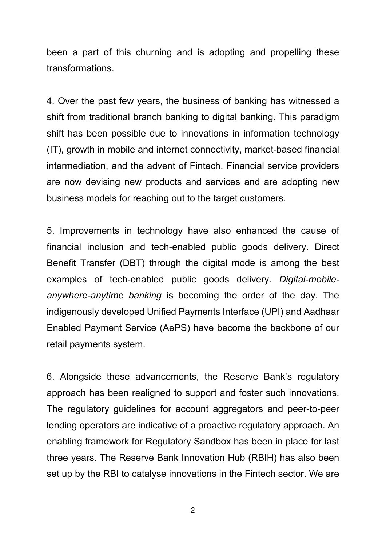been a part of this churning and is adopting and propelling these transformations.

4. Over the past few years, the business of banking has witnessed a shift from traditional branch banking to digital banking. This paradigm shift has been possible due to innovations in information technology (IT), growth in mobile and internet connectivity, market-based financial intermediation, and the advent of Fintech. Financial service providers are now devising new products and services and are adopting new business models for reaching out to the target customers.

5. Improvements in technology have also enhanced the cause of financial inclusion and tech-enabled public goods delivery. Direct Benefit Transfer (DBT) through the digital mode is among the best examples of tech-enabled public goods delivery. *Digital-mobileanywhere-anytime banking* is becoming the order of the day. The indigenously developed Unified Payments Interface (UPI) and Aadhaar Enabled Payment Service (AePS) have become the backbone of our retail payments system.

6. Alongside these advancements, the Reserve Bank's regulatory approach has been realigned to support and foster such innovations. The regulatory guidelines for account aggregators and peer-to-peer lending operators are indicative of a proactive regulatory approach. An enabling framework for Regulatory Sandbox has been in place for last three years. The Reserve Bank Innovation Hub (RBIH) has also been set up by the RBI to catalyse innovations in the Fintech sector. We are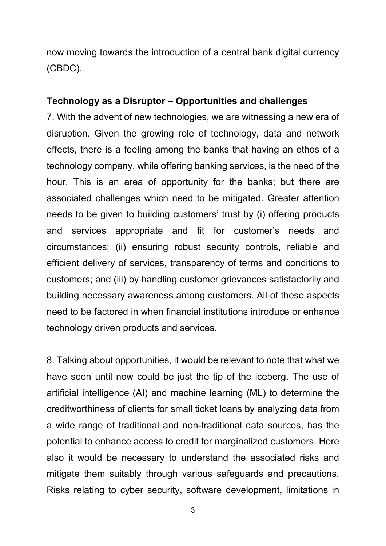now moving towards the introduction of a central bank digital currency (CBDC).

#### **Technology as a Disruptor – Opportunities and challenges**

7. With the advent of new technologies, we are witnessing a new era of disruption. Given the growing role of technology, data and network effects, there is a feeling among the banks that having an ethos of a technology company, while offering banking services, is the need of the hour. This is an area of opportunity for the banks; but there are associated challenges which need to be mitigated. Greater attention needs to be given to building customers' trust by (i) offering products and services appropriate and fit for customer's needs and circumstances; (ii) ensuring robust security controls, reliable and efficient delivery of services, transparency of terms and conditions to customers; and (iii) by handling customer grievances satisfactorily and building necessary awareness among customers. All of these aspects need to be factored in when financial institutions introduce or enhance technology driven products and services.

8. Talking about opportunities, it would be relevant to note that what we have seen until now could be just the tip of the iceberg. The use of artificial intelligence (AI) and machine learning (ML) to determine the creditworthiness of clients for small ticket loans by analyzing data from a wide range of traditional and non-traditional data sources, has the potential to enhance access to credit for marginalized customers. Here also it would be necessary to understand the associated risks and mitigate them suitably through various safeguards and precautions. Risks relating to cyber security, software development, limitations in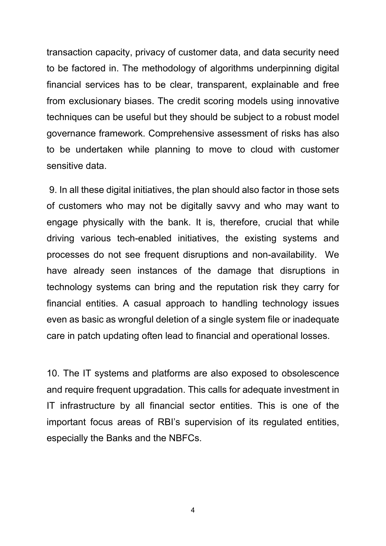transaction capacity, privacy of customer data, and data security need to be factored in. The methodology of algorithms underpinning digital financial services has to be clear, transparent, explainable and free from exclusionary biases. The credit scoring models using innovative techniques can be useful but they should be subject to a robust model governance framework. Comprehensive assessment of risks has also to be undertaken while planning to move to cloud with customer sensitive data.

9. In all these digital initiatives, the plan should also factor in those sets of customers who may not be digitally savvy and who may want to engage physically with the bank. It is, therefore, crucial that while driving various tech-enabled initiatives, the existing systems and processes do not see frequent disruptions and non-availability. We have already seen instances of the damage that disruptions in technology systems can bring and the reputation risk they carry for financial entities. A casual approach to handling technology issues even as basic as wrongful deletion of a single system file or inadequate care in patch updating often lead to financial and operational losses.

10. The IT systems and platforms are also exposed to obsolescence and require frequent upgradation. This calls for adequate investment in IT infrastructure by all financial sector entities. This is one of the important focus areas of RBI's supervision of its regulated entities, especially the Banks and the NBFCs.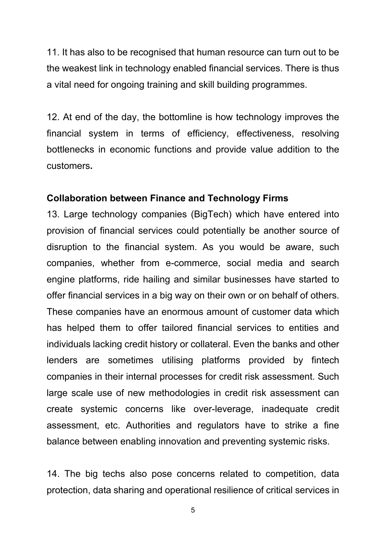11. It has also to be recognised that human resource can turn out to be the weakest link in technology enabled financial services. There is thus a vital need for ongoing training and skill building programmes.

12. At end of the day, the bottomline is how technology improves the financial system in terms of efficiency, effectiveness, resolving bottlenecks in economic functions and provide value addition to the customers**.**

## **Collaboration between Finance and Technology Firms**

13. Large technology companies (BigTech) which have entered into provision of financial services could potentially be another source of disruption to the financial system. As you would be aware, such companies, whether from e-commerce, social media and search engine platforms, ride hailing and similar businesses have started to offer financial services in a big way on their own or on behalf of others. These companies have an enormous amount of customer data which has helped them to offer tailored financial services to entities and individuals lacking credit history or collateral. Even the banks and other lenders are sometimes utilising platforms provided by fintech companies in their internal processes for credit risk assessment. Such large scale use of new methodologies in credit risk assessment can create systemic concerns like over-leverage, inadequate credit assessment, etc. Authorities and regulators have to strike a fine balance between enabling innovation and preventing systemic risks.

14. The big techs also pose concerns related to competition, data protection, data sharing and operational resilience of critical services in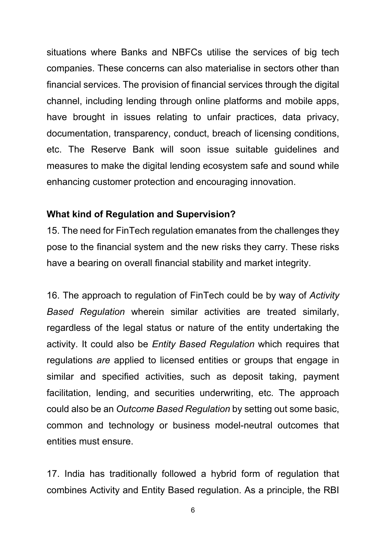situations where Banks and NBFCs utilise the services of big tech companies. These concerns can also materialise in sectors other than financial services. The provision of financial services through the digital channel, including lending through online platforms and mobile apps, have brought in issues relating to unfair practices, data privacy, documentation, transparency, conduct, breach of licensing conditions, etc. The Reserve Bank will soon issue suitable guidelines and measures to make the digital lending ecosystem safe and sound while enhancing customer protection and encouraging innovation.

#### **What kind of Regulation and Supervision?**

15. The need for FinTech regulation emanates from the challenges they pose to the financial system and the new risks they carry. These risks have a bearing on overall financial stability and market integrity.

16. The approach to regulation of FinTech could be by way of *Activity Based Regulation* wherein similar activities are treated similarly, regardless of the legal status or nature of the entity undertaking the activity. It could also be *Entity Based Regulation* which requires that regulations *are* applied to licensed entities or groups that engage in similar and specified activities, such as deposit taking, payment facilitation, lending, and securities underwriting, etc. The approach could also be an *Outcome Based Regulation* by setting out some basic, common and technology or business model-neutral outcomes that entities must ensure.

17. India has traditionally followed a hybrid form of regulation that combines Activity and Entity Based regulation. As a principle, the RBI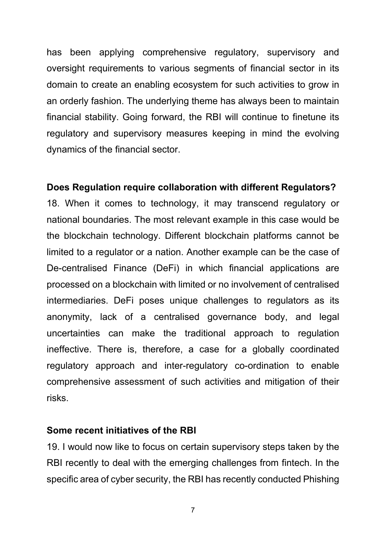has been applying comprehensive regulatory, supervisory and oversight requirements to various segments of financial sector in its domain to create an enabling ecosystem for such activities to grow in an orderly fashion. The underlying theme has always been to maintain financial stability. Going forward, the RBI will continue to finetune its regulatory and supervisory measures keeping in mind the evolving dynamics of the financial sector.

## **Does Regulation require collaboration with different Regulators?**

18. When it comes to technology, it may transcend regulatory or national boundaries. The most relevant example in this case would be the blockchain technology. Different blockchain platforms cannot be limited to a regulator or a nation. Another example can be the case of De-centralised Finance (DeFi) in which financial applications are processed on a blockchain with limited or no involvement of centralised intermediaries. DeFi poses unique challenges to regulators as its anonymity, lack of a centralised governance body, and legal uncertainties can make the traditional approach to regulation ineffective. There is, therefore, a case for a globally coordinated regulatory approach and inter-regulatory co-ordination to enable comprehensive assessment of such activities and mitigation of their risks.

#### **Some recent initiatives of the RBI**

19. I would now like to focus on certain supervisory steps taken by the RBI recently to deal with the emerging challenges from fintech. In the specific area of cyber security, the RBI has recently conducted Phishing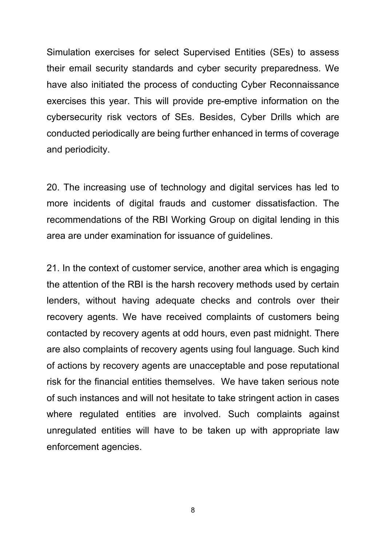Simulation exercises for select Supervised Entities (SEs) to assess their email security standards and cyber security preparedness. We have also initiated the process of conducting Cyber Reconnaissance exercises this year. This will provide pre-emptive information on the cybersecurity risk vectors of SEs. Besides, Cyber Drills which are conducted periodically are being further enhanced in terms of coverage and periodicity.

20. The increasing use of technology and digital services has led to more incidents of digital frauds and customer dissatisfaction. The recommendations of the RBI Working Group on digital lending in this area are under examination for issuance of guidelines.

21. In the context of customer service, another area which is engaging the attention of the RBI is the harsh recovery methods used by certain lenders, without having adequate checks and controls over their recovery agents. We have received complaints of customers being contacted by recovery agents at odd hours, even past midnight. There are also complaints of recovery agents using foul language. Such kind of actions by recovery agents are unacceptable and pose reputational risk for the financial entities themselves. We have taken serious note of such instances and will not hesitate to take stringent action in cases where regulated entities are involved. Such complaints against unregulated entities will have to be taken up with appropriate law enforcement agencies.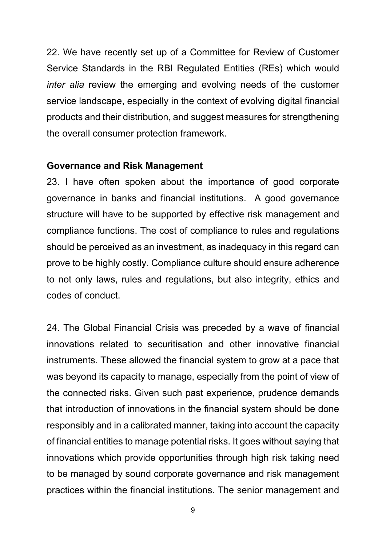22. We have recently set up of a Committee for Review of Customer Service Standards in the RBI Regulated Entities (REs) which would *inter alia* review the emerging and evolving needs of the customer service landscape, especially in the context of evolving digital financial products and their distribution, and suggest measures for strengthening the overall consumer protection framework.

## **Governance and Risk Management**

23. I have often spoken about the importance of good corporate governance in banks and financial institutions. A good governance structure will have to be supported by effective risk management and compliance functions. The cost of compliance to rules and regulations should be perceived as an investment, as inadequacy in this regard can prove to be highly costly. Compliance culture should ensure adherence to not only laws, rules and regulations, but also integrity, ethics and codes of conduct.

24. The Global Financial Crisis was preceded by a wave of financial innovations related to securitisation and other innovative financial instruments. These allowed the financial system to grow at a pace that was beyond its capacity to manage, especially from the point of view of the connected risks. Given such past experience, prudence demands that introduction of innovations in the financial system should be done responsibly and in a calibrated manner, taking into account the capacity of financial entities to manage potential risks. It goes without saying that innovations which provide opportunities through high risk taking need to be managed by sound corporate governance and risk management practices within the financial institutions. The senior management and